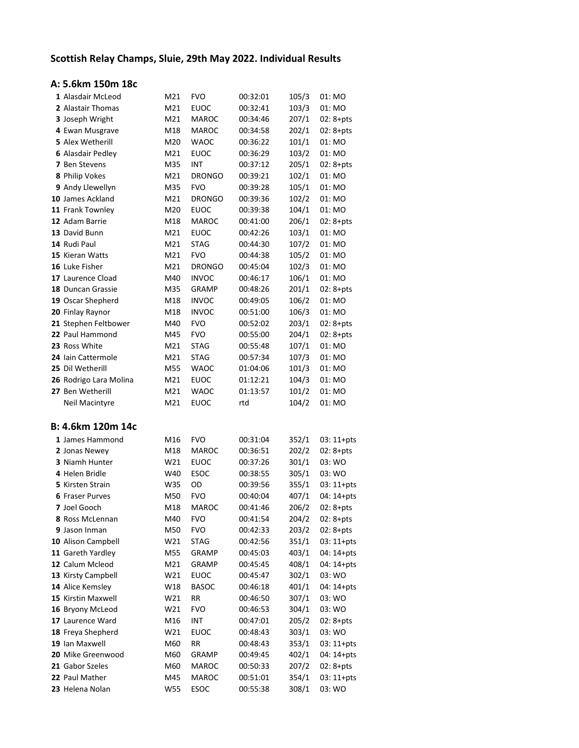## Scottish Relay Champs, Sluie, 29th May 2022. Individual Results

## A: 5.6km 150m 18c

| 1 Alasdair McLeod        | M21 | <b>FVO</b>    | 00:32:01 | 105/3 | 01: MO        |
|--------------------------|-----|---------------|----------|-------|---------------|
| 2 Alastair Thomas        | M21 | <b>EUOC</b>   | 00:32:41 | 103/3 | 01: MO        |
| 3 Joseph Wright          | M21 | <b>MAROC</b>  | 00:34:46 | 207/1 | $02:8 + pts$  |
| 4 Ewan Musgrave          | M18 | <b>MAROC</b>  | 00:34:58 | 202/1 | $02:8 + pts$  |
| 5 Alex Wetherill         | M20 | WAOC          | 00:36:22 | 101/1 | 01: MO        |
| <b>6 Alasdair Pedley</b> | M21 | <b>EUOC</b>   | 00:36:29 | 103/2 | 01: MO        |
| 7 Ben Stevens            | M35 | INT           | 00:37:12 | 205/1 | $02:8 + pts$  |
| 8 Philip Vokes           | M21 | <b>DRONGO</b> | 00:39:21 | 102/1 | 01: MO        |
| 9 Andy Llewellyn         | M35 | <b>FVO</b>    | 00:39:28 | 105/1 | 01: MO        |
| 10 James Ackland         | M21 | <b>DRONGO</b> | 00:39:36 | 102/2 | 01: MO        |
| 11 Frank Townley         | M20 | <b>EUOC</b>   | 00:39:38 | 104/1 | 01: MO        |
| 12 Adam Barrie           | M18 | <b>MAROC</b>  | 00:41:00 | 206/1 | $02: 8 + pts$ |
| 13 David Bunn            | M21 | <b>EUOC</b>   | 00:42:26 | 103/1 | 01: MO        |
| 14 Rudi Paul             | M21 | <b>STAG</b>   | 00:44:30 | 107/2 | 01: MO        |
| 15 Kieran Watts          | M21 | <b>FVO</b>    | 00:44:38 | 105/2 | 01: MO        |
| 16 Luke Fisher           | M21 | <b>DRONGO</b> | 00:45:04 | 102/3 | 01: MO        |
| 17 Laurence Cload        | M40 | <b>INVOC</b>  | 00:46:17 | 106/1 | 01: MO        |
| 18 Duncan Grassie        | M35 | <b>GRAMP</b>  | 00:48:26 | 201/1 | $02:8 + pts$  |
| 19 Oscar Shepherd        | M18 | <b>INVOC</b>  | 00:49:05 | 106/2 | 01: MO        |
| 20 Finlay Raynor         | M18 | <b>INVOC</b>  | 00:51:00 | 106/3 | 01: MO        |
| 21 Stephen Feltbower     | M40 | <b>FVO</b>    | 00:52:02 | 203/1 | $02:8 + pts$  |
| 22 Paul Hammond          | M45 | <b>FVO</b>    | 00:55:00 | 204/1 | $02:8 + pts$  |
| 23 Ross White            | M21 | <b>STAG</b>   | 00:55:48 | 107/1 | 01: MO        |
| 24 Iain Cattermole       | M21 | <b>STAG</b>   | 00:57:34 | 107/3 | 01: MO        |
| 25 Dil Wetherill         | M55 | <b>WAOC</b>   | 01:04:06 | 101/3 | 01: MO        |
| 26 Rodrigo Lara Molina   | M21 | <b>EUOC</b>   | 01:12:21 | 104/3 | 01: MO        |
| 27 Ben Wetherill         | M21 | <b>WAOC</b>   | 01:13:57 | 101/2 | 01: MO        |
|                          |     |               |          |       |               |
| Neil Macintyre           | M21 | <b>EUOC</b>   | rtd      | 104/2 | 01: MO        |
|                          |     |               |          |       |               |
| B: 4.6km 120m 14c        |     |               |          |       |               |
| 1 James Hammond          | M16 | <b>FVO</b>    | 00:31:04 | 352/1 | $03:11+pts$   |
| 2 Jonas Newey            | M18 | <b>MAROC</b>  | 00:36:51 | 202/2 | $02:8 + pts$  |
| 3 Niamh Hunter           | W21 | <b>EUOC</b>   | 00:37:26 | 301/1 | 03: WO        |
| 4 Helen Bridle           | W40 | <b>ESOC</b>   | 00:38:55 | 305/1 | 03: WO        |
| 5 Kirsten Strain         | W35 | OD            | 00:39:56 | 355/1 | $03:11+pts$   |
| <b>6 Fraser Purves</b>   | M50 | <b>FVO</b>    | 00:40:04 | 407/1 | 04: 14+pts    |
| 7 Joel Gooch             | M18 | <b>MAROC</b>  | 00:41:46 | 206/2 | $02:8 + pts$  |
| 8 Ross McLennan          | M40 | <b>FVO</b>    | 00:41:54 | 204/2 | $02:8 + pts$  |
| 9 Jason Inman            | M50 | <b>FVO</b>    | 00:42:33 | 203/2 | $02:8 + pts$  |
| 10 Alison Campbell       | W21 | STAG          | 00:42:56 | 351/1 | $03:11+pts$   |
| 11 Gareth Yardley        | M55 | GRAMP         | 00:45:03 | 403/1 | 04: 14+pts    |
| 12 Calum Mcleod          | M21 | GRAMP         | 00:45:45 | 408/1 | 04: 14+pts    |
| 13 Kirsty Campbell       | W21 | <b>EUOC</b>   | 00:45:47 | 302/1 | 03: WO        |
| 14 Alice Kemsley         | W18 | <b>BASOC</b>  | 00:46:18 | 401/1 | 04: 14+pts    |
| 15 Kirstin Maxwell       | W21 | RR            | 00:46:50 | 307/1 | 03: WO        |
| 16 Bryony McLeod         | W21 | <b>FVO</b>    | 00:46:53 | 304/1 | 03: WO        |
| 17 Laurence Ward         | M16 | INT           | 00:47:01 | 205/2 | $02:8 + pts$  |
| 18 Freya Shepherd        | W21 | <b>EUOC</b>   | 00:48:43 | 303/1 | 03: WO        |
| 19 Ian Maxwell           | M60 | RR            | 00:48:43 | 353/1 | $03:11+pts$   |
| 20 Mike Greenwood        | M60 | GRAMP         | 00:49:45 | 402/1 | 04: 14+pts    |
| 21 Gabor Szeles          | M60 | MAROC         | 00:50:33 | 207/2 | $02:8 + pts$  |
| 22 Paul Mather           | M45 | <b>MAROC</b>  | 00:51:01 | 354/1 | $03:11+pts$   |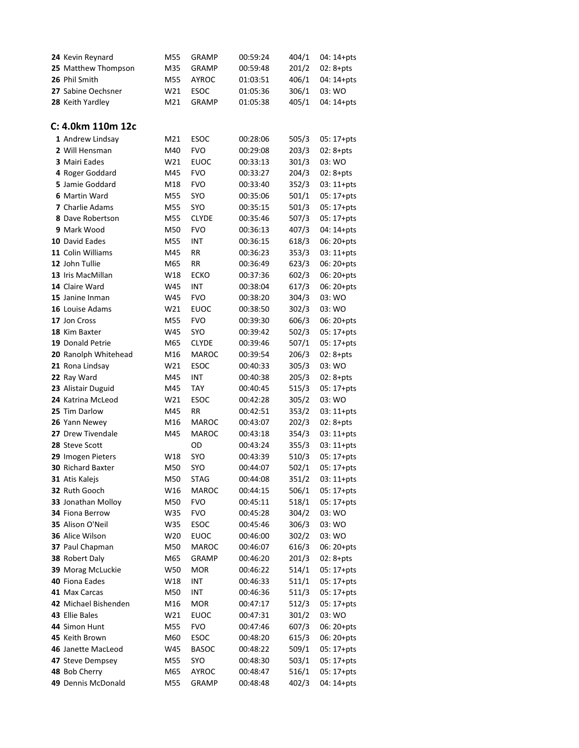| 24 Kevin Reynard         | M55 | <b>GRAMP</b> | 00:59:24 | 404/1 | 04: 14+pts   |
|--------------------------|-----|--------------|----------|-------|--------------|
| 25 Matthew Thompson      | M35 | <b>GRAMP</b> | 00:59:48 | 201/2 | $02:8 + pts$ |
| 26 Phil Smith            | M55 | <b>AYROC</b> | 01:03:51 | 406/1 | 04: 14+pts   |
| 27 Sabine Oechsner       | W21 | ESOC         | 01:05:36 | 306/1 | 03: WO       |
| 28 Keith Yardley         | M21 | <b>GRAMP</b> | 01:05:38 | 405/1 | 04: 14+pts   |
|                          |     |              |          |       |              |
| C: 4.0km 110m 12c        |     |              |          |       |              |
| 1 Andrew Lindsay         | M21 | ESOC         | 00:28:06 | 505/3 | $05:17+pts$  |
| 2 Will Hensman           | M40 | <b>FVO</b>   | 00:29:08 | 203/3 | $02:8 + pts$ |
| 3 Mairi Eades            | W21 | <b>EUOC</b>  | 00:33:13 | 301/3 | 03: WO       |
| 4 Roger Goddard          | M45 | <b>FVO</b>   | 00:33:27 | 204/3 | $02:8 + pts$ |
| 5 Jamie Goddard          | M18 | <b>FVO</b>   | 00:33:40 | 352/3 | $03:11+pts$  |
| 6 Martin Ward            | M55 | SYO          | 00:35:06 | 501/1 | $05:17+pts$  |
| <b>7</b> Charlie Adams   | M55 | <b>SYO</b>   | 00:35:15 | 501/3 | $05:17+pts$  |
| <b>8</b> Dave Robertson  | M55 | <b>CLYDE</b> | 00:35:46 | 507/3 | 05: 17+pts   |
| 9 Mark Wood              | M50 | <b>FVO</b>   | 00:36:13 | 407/3 | 04: 14+pts   |
| 10 David Eades           | M55 | <b>INT</b>   | 00:36:15 | 618/3 | 06: 20+pts   |
| 11 Colin Williams        | M45 | RR           | 00:36:23 | 353/3 | $03:11+pts$  |
| 12 John Tullie           | M65 | RR           | 00:36:49 | 623/3 | 06: 20+pts   |
| 13 Iris MacMillan        | W18 | <b>ECKO</b>  | 00:37:36 | 602/3 | 06: 20+pts   |
| 14 Claire Ward           | W45 | INT          | 00:38:04 | 617/3 | 06: 20+pts   |
| 15 Janine Inman          | W45 | <b>FVO</b>   | 00:38:20 | 304/3 | 03: WO       |
| 16 Louise Adams          | W21 | <b>EUOC</b>  | 00:38:50 | 302/3 | 03: WO       |
| 17 Jon Cross             | M55 | <b>FVO</b>   | 00:39:30 | 606/3 | $06:20+pts$  |
| 18 Kim Baxter            | W45 | <b>SYO</b>   | 00:39:42 | 502/3 | 05: 17+pts   |
| 19 Donald Petrie         | M65 | <b>CLYDE</b> | 00:39:46 | 507/1 | 05: 17+pts   |
| 20 Ranolph Whitehead     | M16 | <b>MAROC</b> | 00:39:54 | 206/3 | $02:8 + pts$ |
| 21 Rona Lindsay          | W21 | <b>ESOC</b>  | 00:40:33 | 305/3 | 03: WO       |
| 22 Ray Ward              | M45 | <b>INT</b>   | 00:40:38 | 205/3 | $02:8 + pts$ |
| 23 Alistair Duguid       | M45 | TAY          | 00:40:45 | 515/3 | $05:17+pts$  |
| 24 Katrina McLeod        | W21 | <b>ESOC</b>  | 00:42:28 | 305/2 | 03: WO       |
| 25 Tim Darlow            | M45 | RR           | 00:42:51 | 353/2 | $03:11+pts$  |
| 26 Yann Newey            | M16 | <b>MAROC</b> | 00:43:07 | 202/3 | $02:8 + pts$ |
| 27 Drew Tivendale        | M45 | <b>MAROC</b> | 00:43:18 | 354/3 | $03:11+pts$  |
| 28 Steve Scott           |     | OD           | 00:43:24 | 355/3 | $03:11+pts$  |
| 29 Imogen Pieters        | W18 | <b>SYO</b>   | 00:43:39 | 510/3 | $05:17+pts$  |
| <b>30</b> Richard Baxter | M50 | SYO          | 00:44:07 | 502/1 | 05: 17+pts   |
| 31 Atis Kalejs           | M50 | <b>STAG</b>  | 00:44:08 | 351/2 | $03:11+pts$  |
| 32 Ruth Gooch            | W16 | MAROC        | 00:44:15 | 506/1 | $05:17+pts$  |
| 33 Jonathan Molloy       | M50 | <b>FVO</b>   | 00:45:11 | 518/1 | 05: 17+pts   |
| 34 Fiona Berrow          | W35 | <b>FVO</b>   | 00:45:28 | 304/2 | 03: WO       |
| 35 Alison O'Neil         | W35 | ESOC         | 00:45:46 | 306/3 | 03: WO       |
| 36 Alice Wilson          | W20 | <b>EUOC</b>  | 00:46:00 | 302/2 | 03: WO       |
| 37 Paul Chapman          | M50 | MAROC        | 00:46:07 | 616/3 | 06: 20+pts   |
| 38 Robert Daly           | M65 | GRAMP        | 00:46:20 | 201/3 | $02:8 + pts$ |
| 39 Morag McLuckie        | W50 | <b>MOR</b>   | 00:46:22 | 514/1 | 05: 17+pts   |
| 40 Fiona Eades           | W18 | INT          | 00:46:33 | 511/1 | $05:17+pts$  |
| 41 Max Carcas            | M50 | <b>INT</b>   | 00:46:36 | 511/3 | $05:17+pts$  |
| 42 Michael Bishenden     | M16 | <b>MOR</b>   | 00:47:17 | 512/3 | 05: 17+pts   |
| 43 Ellie Bales           | W21 | <b>EUOC</b>  | 00:47:31 | 301/2 | 03: WO       |
| 44 Simon Hunt            | M55 | <b>FVO</b>   | 00:47:46 | 607/3 | 06: 20+pts   |
| 45 Keith Brown           | M60 | ESOC         | 00:48:20 | 615/3 | 06: 20+pts   |
| 46 Janette MacLeod       | W45 | <b>BASOC</b> | 00:48:22 | 509/1 | $05:17+pts$  |
| 47 Steve Dempsey         | M55 | SYO          | 00:48:30 | 503/1 | 05: 17+pts   |
| 48 Bob Cherry            | M65 | <b>AYROC</b> | 00:48:47 | 516/1 | $05:17+pts$  |
| 49 Dennis McDonald       | M55 | <b>GRAMP</b> | 00:48:48 | 402/3 | 04: 14+pts   |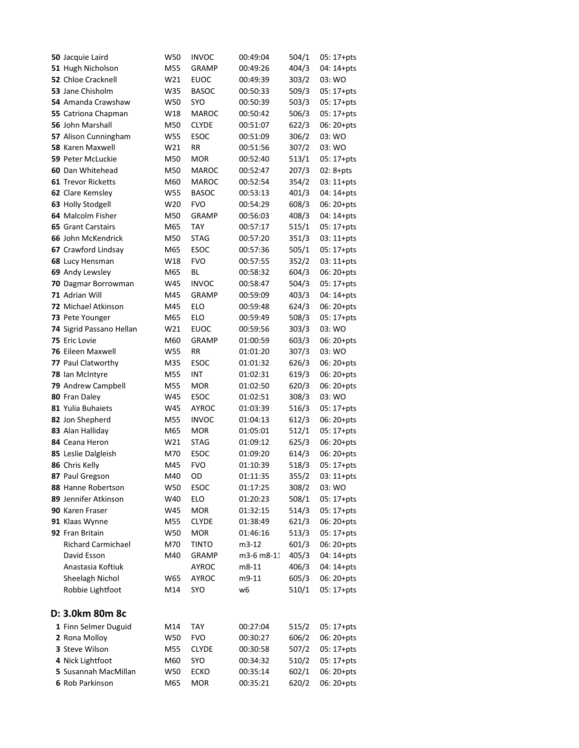| 50 Jacquie Laird          | W50 | INVOC        | 00:49:04   | 504/1 | $05:17+pts$  |
|---------------------------|-----|--------------|------------|-------|--------------|
| 51 Hugh Nicholson         | M55 | <b>GRAMP</b> | 00:49:26   | 404/3 | 04: 14+pts   |
| 52 Chloe Cracknell        | W21 | EUOC         | 00:49:39   | 303/2 | 03: WO       |
| 53 Jane Chisholm          | W35 | <b>BASOC</b> | 00:50:33   | 509/3 | 05: 17+pts   |
| 54 Amanda Crawshaw        | W50 | <b>SYO</b>   | 00:50:39   | 503/3 | $05:17+pts$  |
| 55 Catriona Chapman       | W18 | <b>MAROC</b> | 00:50:42   | 506/3 | 05: 17+pts   |
| 56 John Marshall          | M50 | <b>CLYDE</b> | 00:51:07   | 622/3 | 06: 20+pts   |
| 57 Alison Cunningham      | W55 | <b>ESOC</b>  | 00:51:09   | 306/2 | 03: WO       |
| 58 Karen Maxwell          | W21 | RR           | 00:51:56   | 307/2 | 03: WO       |
| 59 Peter McLuckie         | M50 | MOR          | 00:52:40   | 513/1 | $05:17+pts$  |
| 60 Dan Whitehead          | M50 | MAROC        | 00:52:47   | 207/3 | $02:8 + pts$ |
| <b>61 Trevor Ricketts</b> | M60 | <b>MAROC</b> | 00:52:54   | 354/2 | $03:11+pts$  |
| 62 Clare Kemsley          | W55 | <b>BASOC</b> | 00:53:13   | 401/3 | $04:14+pts$  |
| 63 Holly Stodgell         | W20 | <b>FVO</b>   | 00:54:29   | 608/3 | $06:20+pts$  |
| 64 Malcolm Fisher         | M50 | <b>GRAMP</b> | 00:56:03   | 408/3 | $04:14+pts$  |
| <b>65 Grant Carstairs</b> | M65 | TAY          | 00:57:17   | 515/1 | $05:17+pts$  |
| 66 John McKendrick        | M50 | <b>STAG</b>  | 00:57:20   | 351/3 | $03:11+pts$  |
| 67 Crawford Lindsay       | M65 | ESOC         | 00:57:36   | 505/1 | $05:17+pts$  |
| 68 Lucy Hensman           | W18 | <b>FVO</b>   | 00:57:55   | 352/2 | $03:11+pts$  |
| 69 Andy Lewsley           | M65 | ВL           | 00:58:32   | 604/3 | $06:20+pts$  |
| 70 Dagmar Borrowman       | W45 | <b>INVOC</b> | 00:58:47   | 504/3 | $05:17+pts$  |
| 71 Adrian Will            | M45 | <b>GRAMP</b> | 00:59:09   | 403/3 | 04: 14+pts   |
| 72 Michael Atkinson       | M45 | ELO          | 00:59:48   | 624/3 | $06:20+pts$  |
| 73 Pete Younger           | M65 | <b>ELO</b>   | 00:59:49   | 508/3 | 05: 17+pts   |
| 74 Sigrid Passano Hellan  | W21 | <b>EUOC</b>  | 00:59:56   | 303/3 | 03: WO       |
| 75 Eric Lovie             | M60 | <b>GRAMP</b> | 01:00:59   | 603/3 | $06:20+pts$  |
| 76 Eileen Maxwell         | W55 | RR           | 01:01:20   | 307/3 | 03: WO       |
| 77 Paul Clatworthy        | M35 | <b>ESOC</b>  | 01:01:32   | 626/3 | $06:20+pts$  |
| 78 Ian McIntyre           | M55 | <b>INT</b>   | 01:02:31   | 619/3 | 06: 20+pts   |
| 79 Andrew Campbell        | M55 | MOR          | 01:02:50   | 620/3 | 06: 20+pts   |
| 80 Fran Daley             | W45 | <b>ESOC</b>  | 01:02:51   | 308/3 | 03: WO       |
| 81 Yulia Buhaiets         | W45 | AYROC        | 01:03:39   | 516/3 | 05: 17+pts   |
| 82 Jon Shepherd           | M55 | <b>INVOC</b> | 01:04:13   | 612/3 | $06:20+pts$  |
| 83 Alan Halliday          | M65 | <b>MOR</b>   | 01:05:01   | 512/1 | $05:17+pts$  |
| 84 Ceana Heron            | W21 | <b>STAG</b>  | 01:09:12   | 625/3 | 06: 20+pts   |
| 85 Leslie Dalgleish       | M70 | <b>ESOC</b>  | 01:09:20   | 614/3 | 06: 20+pts   |
| 86 Chris Kelly            | M45 | <b>FVO</b>   | 01:10:39   | 518/3 | 05: 17+pts   |
| 87 Paul Gregson           | M40 | OD           | 01:11:35   | 355/2 | 03: 11+pts   |
| 88 Hanne Robertson        | W50 | <b>ESOC</b>  | 01:17:25   | 308/2 | 03: WO       |
| 89 Jennifer Atkinson      | W40 | ELO          | 01:20:23   | 508/1 | 05: 17+pts   |
| 90 Karen Fraser           | W45 | <b>MOR</b>   | 01:32:15   | 514/3 | 05: 17+pts   |
| 91 Klaas Wynne            | M55 | <b>CLYDE</b> | 01:38:49   | 621/3 | 06: 20+pts   |
| 92 Fran Britain           | W50 | <b>MOR</b>   | 01:46:16   | 513/3 | 05: 17+pts   |
| <b>Richard Carmichael</b> | M70 | <b>TINTO</b> | m3-12      | 601/3 | 06: 20+pts   |
| David Esson               | M40 | GRAMP        | m3-6 m8-11 | 405/3 | 04: 14+pts   |
| Anastasia Koftiuk         |     | AYROC        | m8-11      | 406/3 | 04: 14+pts   |
| Sheelagh Nichol           | W65 | <b>AYROC</b> | m9-11      | 605/3 | 06: 20+pts   |
| Robbie Lightfoot          | M14 | SYO          | w6         | 510/1 | 05: 17+pts   |
|                           |     |              |            |       |              |
| D: 3.0km 80m 8c           |     |              |            |       |              |
| 1 Finn Selmer Duguid      | M14 | <b>TAY</b>   | 00:27:04   | 515/2 | 05: 17+pts   |
| 2 Rona Molloy             | W50 | <b>FVO</b>   | 00:30:27   | 606/2 | 06: 20+pts   |
| 3 Steve Wilson            | M55 | <b>CLYDE</b> | 00:30:58   | 507/2 | 05: 17+pts   |
| 4 Nick Lightfoot          | M60 | SYO          | 00:34:32   | 510/2 | 05: 17+pts   |
| 5 Susannah MacMillan      | W50 | <b>ECKO</b>  | 00:35:14   | 602/1 | 06: 20+pts   |
| 6 Rob Parkinson           | M65 | <b>MOR</b>   | 00:35:21   | 620/2 | 06: 20+pts   |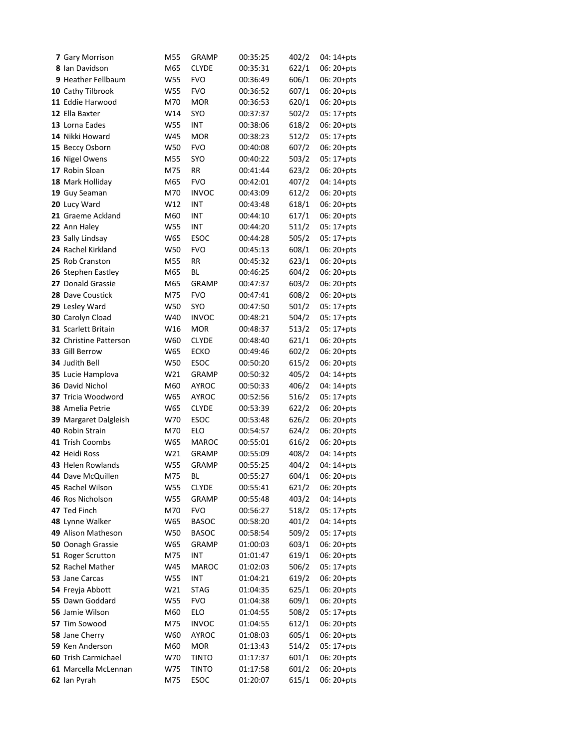| 7 Gary Morrison               | M55 | GRAMP        | 00:35:25 | 402/2 | 04: 14+pts  |
|-------------------------------|-----|--------------|----------|-------|-------------|
| 8 Ian Davidson                | M65 | <b>CLYDE</b> | 00:35:31 | 622/1 | 06: 20+pts  |
| 9 Heather Fellbaum            | W55 | <b>FVO</b>   | 00:36:49 | 606/1 | 06: 20+pts  |
| 10 Cathy Tilbrook             | W55 | <b>FVO</b>   | 00:36:52 | 607/1 | 06: 20+pts  |
| 11 Eddie Harwood              | M70 | <b>MOR</b>   | 00:36:53 | 620/1 | $06:20+pts$ |
| 12 Ella Baxter                | W14 | <b>SYO</b>   | 00:37:37 | 502/2 | $05:17+pts$ |
| 13 Lorna Eades                | W55 | <b>INT</b>   | 00:38:06 | 618/2 | $06:20+pts$ |
| 14 Nikki Howard               | W45 | <b>MOR</b>   | 00:38:23 | 512/2 | 05: 17+pts  |
| 15 Beccy Osborn               | W50 | <b>FVO</b>   | 00:40:08 | 607/2 | $06:20+pts$ |
| 16 Nigel Owens                | M55 | <b>SYO</b>   | 00:40:22 | 503/2 | $05:17+pts$ |
| 17 Robin Sloan                | M75 | <b>RR</b>    | 00:41:44 | 623/2 | $06:20+pts$ |
| 18 Mark Holliday              | M65 | <b>FVO</b>   | 00:42:01 | 407/2 | 04: 14+pts  |
| 19 Guy Seaman                 | M70 | <b>INVOC</b> | 00:43:09 | 612/2 | $06:20+pts$ |
| 20 Lucy Ward                  | W12 | <b>INT</b>   | 00:43:48 | 618/1 | 06: 20+pts  |
| 21 Graeme Ackland             | M60 | <b>INT</b>   | 00:44:10 | 617/1 | $06:20+pts$ |
| 22 Ann Haley                  | W55 | <b>INT</b>   | 00:44:20 | 511/2 | $05:17+pts$ |
| 23 Sally Lindsay              | W65 | <b>ESOC</b>  | 00:44:28 | 505/2 | $05:17+pts$ |
| 24 Rachel Kirkland            | W50 | <b>FVO</b>   | 00:45:13 | 608/1 | 06: 20+pts  |
| 25 Rob Cranston               | M55 | <b>RR</b>    | 00:45:32 | 623/1 | 06: 20+pts  |
| 26 Stephen Eastley            | M65 | BL           | 00:46:25 | 604/2 | 06: 20+pts  |
| 27 Donald Grassie             | M65 | <b>GRAMP</b> | 00:47:37 | 603/2 | $06:20+pts$ |
| 28 Dave Coustick              | M75 | <b>FVO</b>   | 00:47:41 | 608/2 | $06:20+pts$ |
| 29 Lesley Ward                | W50 | SYO          | 00:47:50 | 501/2 | $05:17+pts$ |
| 30 Carolyn Cload              | W40 | <b>INVOC</b> | 00:48:21 | 504/2 | $05:17+pts$ |
| 31 Scarlett Britain           | W16 | <b>MOR</b>   | 00:48:37 | 513/2 | $05:17+pts$ |
| <b>32</b> Christine Patterson | W60 | <b>CLYDE</b> | 00:48:40 | 621/1 | $06:20+pts$ |
| 33 Gill Berrow                | W65 | <b>ECKO</b>  | 00:49:46 | 602/2 | 06: 20+pts  |
| 34 Judith Bell                | W50 | <b>ESOC</b>  | 00:50:20 | 615/2 | $06:20+pts$ |
| 35 Lucie Hamplova             | W21 | <b>GRAMP</b> | 00:50:32 | 405/2 | 04: 14+pts  |
| 36 David Nichol               | M60 | <b>AYROC</b> | 00:50:33 | 406/2 | 04: 14+pts  |
| 37 Tricia Woodword            | W65 | <b>AYROC</b> | 00:52:56 | 516/2 | 05: 17+pts  |
| 38 Amelia Petrie              | W65 | <b>CLYDE</b> | 00:53:39 | 622/2 | $06:20+pts$ |
| 39 Margaret Dalgleish         | W70 | <b>ESOC</b>  | 00:53:48 | 626/2 | $06:20+pts$ |
| 40 Robin Strain               | M70 | <b>ELO</b>   | 00:54:57 | 624/2 | $06:20+pts$ |
| 41 Trish Coombs               | W65 | <b>MAROC</b> | 00:55:01 | 616/2 | $06:20+pts$ |
| 42 Heidi Ross                 | W21 | <b>GRAMP</b> | 00:55:09 | 408/2 | 04: 14+pts  |
| 43 Helen Rowlands             | W55 | <b>GRAMP</b> | 00:55:25 | 404/2 | 04: 14+pts  |
| 44 Dave McQuillen             | M75 | BL           | 00:55:27 | 604/1 | 06: 20+pts  |
| 45 Rachel Wilson              | W55 | <b>CLYDE</b> | 00:55:41 | 621/2 | 06: 20+pts  |
| 46 Ros Nicholson              | W55 | <b>GRAMP</b> | 00:55:48 | 403/2 | 04: 14+pts  |
| 47 Ted Finch                  | M70 | <b>FVO</b>   | 00:56:27 | 518/2 | 05: 17+pts  |
| 48 Lynne Walker               | W65 | <b>BASOC</b> | 00:58:20 | 401/2 | 04: 14+pts  |
| 49 Alison Matheson            | W50 | <b>BASOC</b> | 00:58:54 | 509/2 | 05: 17+pts  |
| 50 Oonagh Grassie             | W65 | <b>GRAMP</b> | 01:00:03 | 603/1 | 06: 20+pts  |
| 51 Roger Scrutton             | M75 | <b>INT</b>   | 01:01:47 | 619/1 | 06: 20+pts  |
| 52 Rachel Mather              | W45 | <b>MAROC</b> | 01:02:03 | 506/2 | 05: 17+pts  |
| 53 Jane Carcas                | W55 | <b>INT</b>   | 01:04:21 | 619/2 | 06: 20+pts  |
| 54 Freyja Abbott              | W21 | <b>STAG</b>  | 01:04:35 | 625/1 | 06: 20+pts  |
| 55 Dawn Goddard               | W55 | <b>FVO</b>   | 01:04:38 | 609/1 | 06: 20+pts  |
| 56 Jamie Wilson               | M60 | ELO          | 01:04:55 | 508/2 | 05: 17+pts  |
| 57 Tim Sowood                 | M75 | <b>INVOC</b> | 01:04:55 | 612/1 | 06: 20+pts  |
| 58 Jane Cherry                | W60 | <b>AYROC</b> | 01:08:03 | 605/1 | 06: 20+pts  |
| 59 Ken Anderson               | M60 | <b>MOR</b>   | 01:13:43 | 514/2 | 05: 17+pts  |
| 60 Trish Carmichael           | W70 | <b>TINTO</b> | 01:17:37 | 601/1 | 06: 20+pts  |
| 61 Marcella McLennan          | W75 | <b>TINTO</b> | 01:17:58 | 601/2 | 06: 20+pts  |
| 62 Ian Pyrah                  | M75 | ESOC         | 01:20:07 | 615/1 | 06: 20+pts  |